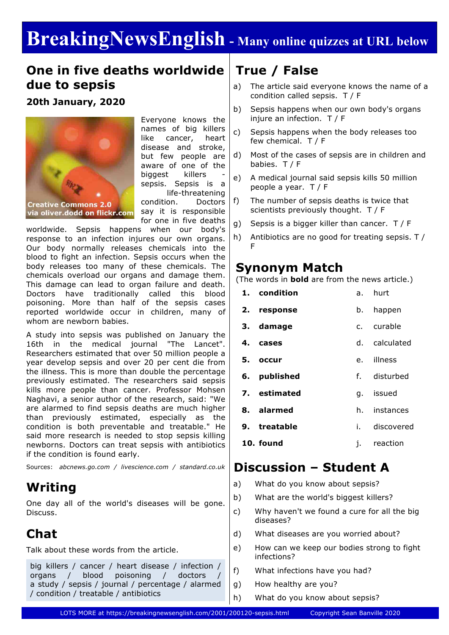# **BreakingNewsEnglish - Many online quizzes at URL below**

### **One in five deaths worldwide due to sepsis**

**20th January, 2020**



Everyone knows the names of big killers like cancer, heart disease and stroke, but few people are aware of one of the biggest killers sepsis. Sepsis is a life-threatening condition. Doctors say it is responsible

for one in five deaths

worldwide. Sepsis happens when our body's response to an infection injures our own organs. Our body normally releases chemicals into the blood to fight an infection. Sepsis occurs when the body releases too many of these chemicals. The chemicals overload our organs and damage them. This damage can lead to organ failure and death. Doctors have traditionally called this blood poisoning. More than half of the sepsis cases reported worldwide occur in children, many of whom are newborn babies.

A study into sepsis was published on January the 16th in the medical journal "The Lancet". Researchers estimated that over 50 million people a year develop sepsis and over 20 per cent die from the illness. This is more than double the percentage previously estimated. The researchers said sepsis kills more people than cancer. Professor Mohsen Naghavi, a senior author of the research, said: "We are alarmed to find sepsis deaths are much higher than previously estimated, especially as the condition is both preventable and treatable." He said more research is needed to stop sepsis killing newborns. Doctors can treat sepsis with antibiotics if the condition is found early.

Sources: *abcnews.go.com / livescience.com / standard.co.uk*

### **Writing**

One day all of the world's diseases will be gone. Discuss.

### **Chat**

Talk about these words from the article.

#### big killers / cancer / heart disease / infection / organs / blood poisoning / doctors a study / sepsis / journal / percentage / alarmed / condition / treatable / antibiotics

### **True / False**

- a) The article said everyone knows the name of a condition called sepsis. T / F
- b) Sepsis happens when our own body's organs injure an infection. T / F
- c) Sepsis happens when the body releases too few chemical. T / F
- d) Most of the cases of sepsis are in children and babies. T / F
- e) A medical journal said sepsis kills 50 million people a year. T / F
- f) The number of sepsis deaths is twice that scientists previously thought. T / F
- g) Sepsis is a bigger killer than cancer. T / F
- h) Antibiotics are no good for treating sepsis. T / F

### **Synonym Match**

(The words in **bold** are from the news article.)

|    | 1. condition |      | a. hurt       |
|----|--------------|------|---------------|
|    | 2. response  | b.   | happen        |
|    | 3. damage    |      | c. curable    |
| 4. | cases        |      | d. calculated |
|    | 5. occur     |      | e. illness    |
|    | 6. published |      | f. disturbed  |
|    | 7. estimated |      | g. issued     |
|    | 8. alarmed   | h.   | instances     |
|    | 9. treatable | i. – | discovered    |
|    | 10. found    | i.   | reaction      |
|    |              |      |               |

### **Discussion – Student A**

- a) What do you know about sepsis?
- b) What are the world's biggest killers?
- c) Why haven't we found a cure for all the big diseases?
- d) What diseases are you worried about?
- e) How can we keep our bodies strong to fight infections?
- f) What infections have you had?
- g) How healthy are you?
- h) What do you know about sepsis?